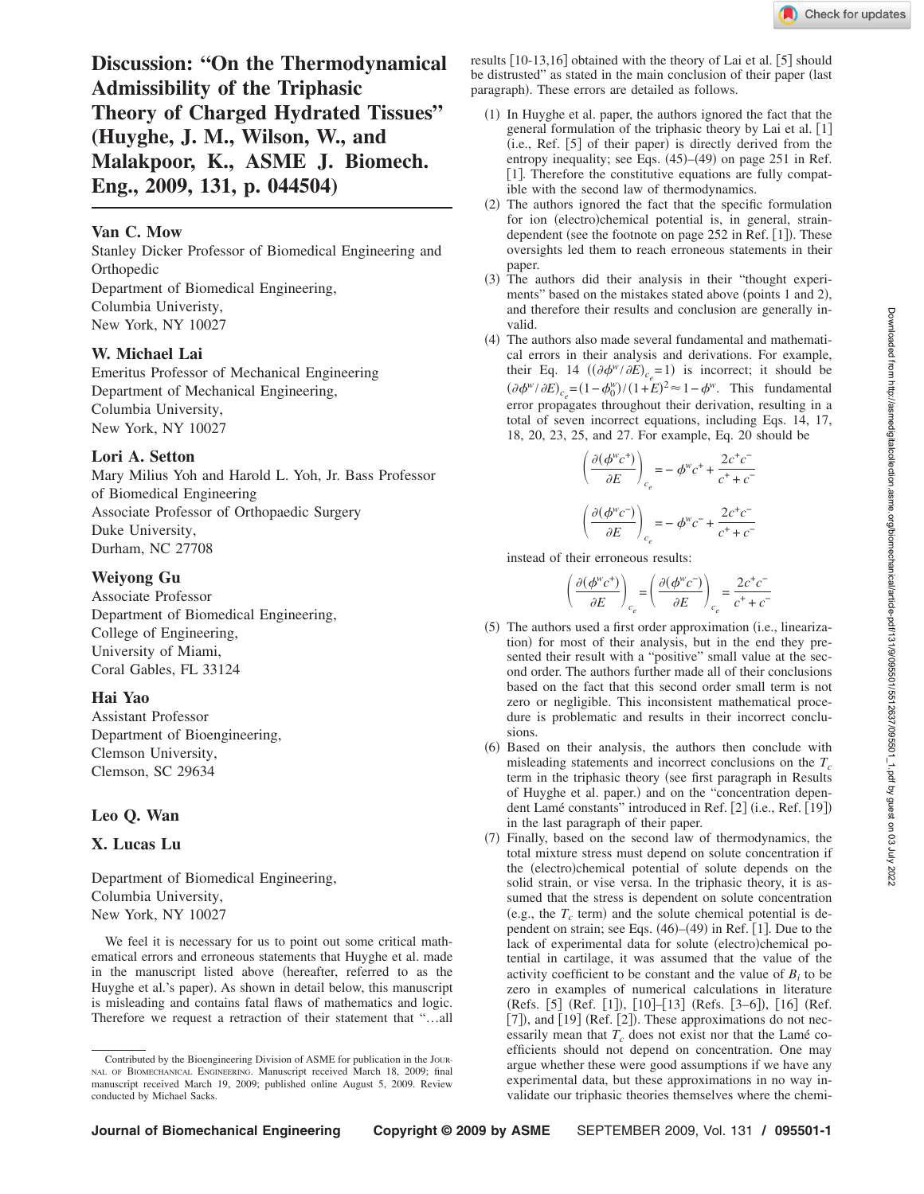**Discussion: "On the Thermodynamical Admissibility of the Triphasic Theory of Charged Hydrated Tissues" (Huyghe, J. M., Wilson, W., and Malakpoor, K., ASME J. Biomech. Eng., 2009, 131, p. 044504)**

## **Van C. Mow**

Stanley Dicker Professor of Biomedical Engineering and **Orthopedic** Department of Biomedical Engineering, Columbia Univeristy, New York, NY 10027

## **W. Michael Lai**

Emeritus Professor of Mechanical Engineering Department of Mechanical Engineering, Columbia University, New York, NY 10027

#### **Lori A. Setton**

Mary Milius Yoh and Harold L. Yoh, Jr. Bass Professor of Biomedical Engineering Associate Professor of Orthopaedic Surgery Duke University, Durham, NC 27708

#### **Weiyong Gu**

Associate Professor Department of Biomedical Engineering, College of Engineering, University of Miami, Coral Gables, FL 33124

## **Hai Yao**

Assistant Professor Department of Bioengineering, Clemson University, Clemson, SC 29634

## **Leo Q. Wan**

# **X. Lucas Lu**

Department of Biomedical Engineering, Columbia University, New York, NY 10027

We feel it is necessary for us to point out some critical mathematical errors and erroneous statements that Huyghe et al. made in the manuscript listed above (hereafter, referred to as the Huyghe et al.'s paper). As shown in detail below, this manuscript is misleading and contains fatal flaws of mathematics and logic. Therefore we request a retraction of their statement that "…all

results  $\lceil 10-13,16 \rceil$  obtained with the theory of Lai et al.  $\lceil 5 \rceil$  should be distrusted" as stated in the main conclusion of their paper (last paragraph). These errors are detailed as follows.

- (1) In Huyghe et al. paper, the authors ignored the fact that the general formulation of the triphasic theory by Lai et al. [1] (i.e., Ref. [5] of their paper) is directly derived from the entropy inequality; see Eqs. (45)–(49) on page 251 in Ref. [1]. Therefore the constitutive equations are fully compatible with the second law of thermodynamics.
- (2) The authors ignored the fact that the specific formulation for ion (electro)chemical potential is, in general, straindependent (see the footnote on page 252 in Ref. [1]). These oversights led them to reach erroneous statements in their paper.
- (3) The authors did their analysis in their "thought experiments" based on the mistakes stated above (points 1 and 2), and therefore their results and conclusion are generally invalid.
- (4) The authors also made several fundamental and mathematical errors in their analysis and derivations. For example, their Eq. 14  $((\partial \phi^w / \partial E)_{c_e} = 1)$  is incorrect; it should be  $(\partial \phi^w / \partial E)_{c_e} = (1 - \phi_0^w) / (1 + E)^2 \approx 1 - \phi^w$ . This fundamental error propagates throughout their derivation, resulting in a total of seven incorrect equations, including Eqs. 14, 17, 18, 20, 23, 25, and 27. For example, Eq. 20 should be

$$
\left(\frac{\partial(\phi^wc^+)}{\partial E}\right)_{c_e} = -\phi^wc^+ + \frac{2c^+c^-}{c^+ + c^-}
$$

$$
\left(\frac{\partial(\phi^wc^-)}{\partial E}\right)_{c_e} = -\phi^wc^- + \frac{2c^+c^-}{c^+ + c^-}
$$

instead of their erroneous results:

$$
\left(\frac{\partial (\phi^{\rm w} c^+)}{\partial E}\right)_{c_e} \! = \! \left(\frac{\partial (\phi^{\rm w} c^-)}{\partial E}\right)_{c_e} \! = \! \frac{2 c^+ c^-}{c^+ + c^-}
$$

- (5) The authors used a first order approximation (i.e., linearization) for most of their analysis, but in the end they presented their result with a "positive" small value at the second order. The authors further made all of their conclusions based on the fact that this second order small term is not zero or negligible. This inconsistent mathematical procedure is problematic and results in their incorrect conclusions.
- (6) Based on their analysis, the authors then conclude with misleading statements and incorrect conclusions on the  $T_c$ term in the triphasic theory (see first paragraph in Results of Huyghe et al. paper.) and on the "concentration dependent Lamé constants" introduced in Ref. [2] (i.e., Ref. [19]) in the last paragraph of their paper.
- (7) Finally, based on the second law of thermodynamics, the total mixture stress must depend on solute concentration if the (electro)chemical potential of solute depends on the solid strain, or vise versa. In the triphasic theory, it is assumed that the stress is dependent on solute concentration (e.g., the  $T_c$  term) and the solute chemical potential is dependent on strain; see Eqs.  $(46)$ – $(49)$  in Ref.  $[1]$ . Due to the lack of experimental data for solute (electro)chemical potential in cartilage, it was assumed that the value of the activity coefficient to be constant and the value of  $B_i$  to be zero in examples of numerical calculations in literature (Refs. [5] (Ref. [1]), [10]–[13] (Refs. [3–6]), [16] (Ref.  $[7]$ ), and  $[19]$  (Ref.  $[2]$ ). These approximations do not necessarily mean that  $T_c$  does not exist nor that the Lamé coefficients should not depend on concentration. One may argue whether these were good assumptions if we have any experimental data, but these approximations in no way invalidate our triphasic theories themselves where the chemi-

Contributed by the Bioengineering Division of ASME for publication in the JOUR-NAL OF BIOMECHANICAL ENGINEERING. Manuscript received March 18, 2009; final manuscript received March 19, 2009; published online August 5, 2009. Review conducted by Michael Sacks.